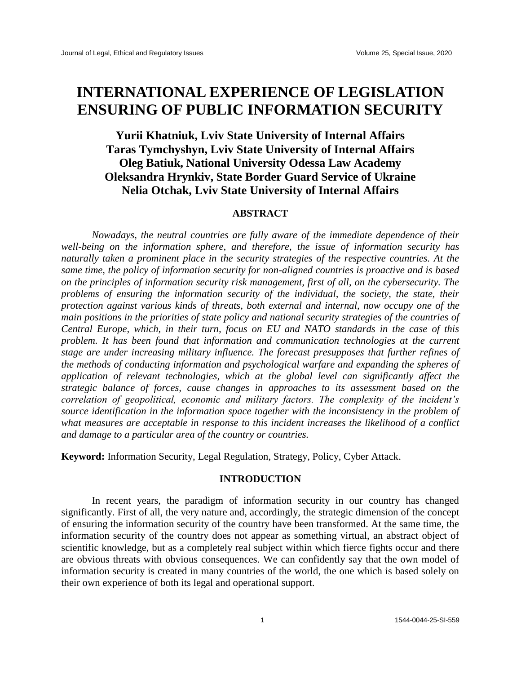# **INTERNATIONAL EXPERIENCE OF LEGISLATION ENSURING OF PUBLIC INFORMATION SECURITY**

# **Yurii Khatniuk, Lviv State University of Internal Affairs Taras Tymchyshyn, Lviv State University of Internal Affairs Oleg Batiuk, National University Odessa Law Academy Oleksandra Hrynkiv, State Border Guard Service of Ukraine Nelia Otchak, Lviv State University of Internal Affairs**

## **ABSTRACT**

*Nowadays, the neutral countries are fully aware of the immediate dependence of their well-being on the information sphere, and therefore, the issue of information security has naturally taken a prominent place in the security strategies of the respective countries. At the same time, the policy of information security for non-aligned countries is proactive and is based on the principles of information security risk management, first of all, on the cybersecurity. The problems of ensuring the information security of the individual, the society, the state, their protection against various kinds of threats, both external and internal, now occupy one of the main positions in the priorities of state policy and national security strategies of the countries of Central Europe, which, in their turn, focus on EU and NATO standards in the case of this problem. It has been found that information and communication technologies at the current stage are under increasing military influence. The forecast presupposes that further refines of the methods of conducting information and psychological warfare and expanding the spheres of application of relevant technologies, which at the global level can significantly affect the strategic balance of forces, cause changes in approaches to its assessment based on the correlation of geopolitical, economic and military factors. The complexity of the incident's source identification in the information space together with the inconsistency in the problem of what measures are acceptable in response to this incident increases the likelihood of a conflict and damage to a particular area of the country or countries.*

**Keyword:** Information Security, Legal Regulation, Strategy, Policy, Cyber Attack.

# **INTRODUCTION**

In recent years, the paradigm of information security in our country has changed significantly. First of all, the very nature and, accordingly, the strategic dimension of the concept of ensuring the information security of the country have been transformed. At the same time, the information security of the country does not appear as something virtual, an abstract object of scientific knowledge, but as a completely real subject within which fierce fights occur and there are obvious threats with obvious consequences. We can confidently say that the own model of information security is created in many countries of the world, the one which is based solely on their own experience of both its legal and operational support.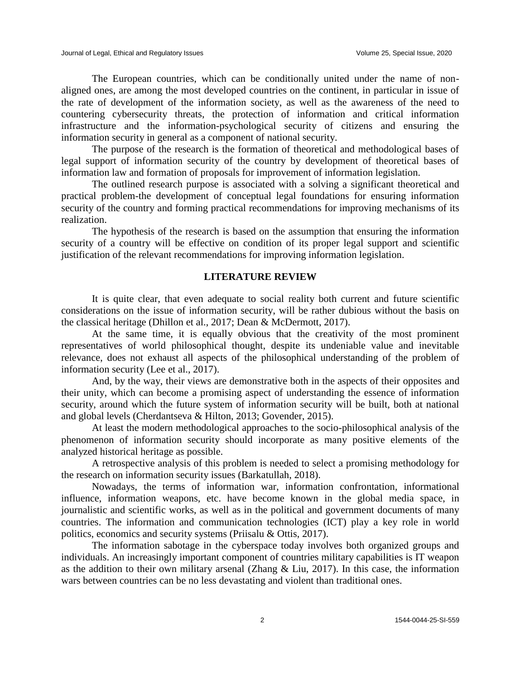The European countries, which can be conditionally united under the name of nonaligned ones, are among the most developed countries on the continent, in particular in issue of the rate of development of the information society, as well as the awareness of the need to countering cybersecurity threats, the protection of information and critical information infrastructure and the information-psychological security of citizens and ensuring the information security in general as a component of national security.

The purpose of the research is the formation of theoretical and methodological bases of legal support of information security of the country by development of theoretical bases of information law and formation of proposals for improvement of information legislation.

The outlined research purpose is associated with a solving a significant theoretical and practical problem-the development of conceptual legal foundations for ensuring information security of the country and forming practical recommendations for improving mechanisms of its realization.

The hypothesis of the research is based on the assumption that ensuring the information security of a country will be effective on condition of its proper legal support and scientific justification of the relevant recommendations for improving information legislation.

#### **LITERATURE REVIEW**

It is quite clear, that even adequate to social reality both current and future scientific considerations on the issue of information security, will be rather dubious without the basis on the classical heritage (Dhillon et al., 2017; Dean & McDermott, 2017).

At the same time, it is equally obvious that the creativity of the most prominent representatives of world philosophical thought, despite its undeniable value and inevitable relevance, does not exhaust all aspects of the philosophical understanding of the problem of information security (Lee et al., 2017).

And, by the way, their views are demonstrative both in the aspects of their opposites and their unity, which can become a promising aspect of understanding the essence of information security, around which the future system of information security will be built, both at national and global levels (Cherdantseva & Hilton, 2013; Govender, 2015).

At least the modern methodological approaches to the socio-philosophical analysis of the phenomenon of information security should incorporate as many positive elements of the analyzed historical heritage as possible.

A retrospective analysis of this problem is needed to select a promising methodology for the research on information security issues (Barkatullah, 2018).

Nowadays, the terms of information war, information confrontation, informational influence, information weapons, etc. have become known in the global media space, in journalistic and scientific works, as well as in the political and government documents of many countries. The information and communication technologies (ICT) play a key role in world politics, economics and security systems (Priisalu & Ottis, 2017).

The information sabotage in the cyberspace today involves both organized groups and individuals. An increasingly important component of countries military capabilities is IT weapon as the addition to their own military arsenal (Zhang & Liu, 2017). In this case, the information wars between countries can be no less devastating and violent than traditional ones.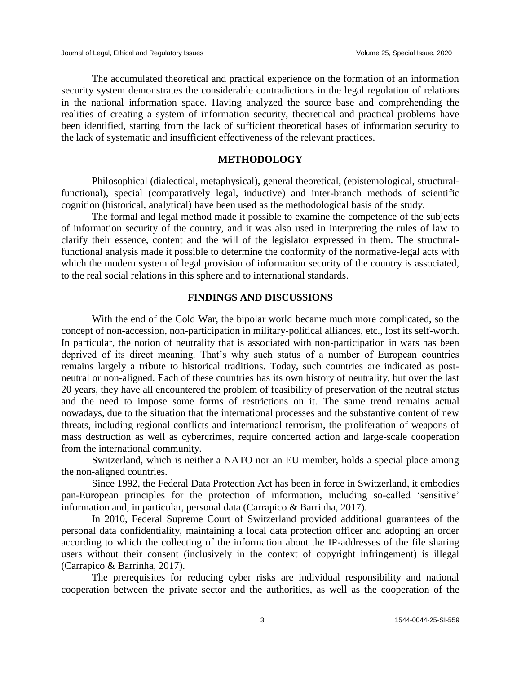The accumulated theoretical and practical experience on the formation of an information security system demonstrates the considerable contradictions in the legal regulation of relations in the national information space. Having analyzed the source base and comprehending the realities of creating a system of information security, theoretical and practical problems have been identified, starting from the lack of sufficient theoretical bases of information security to the lack of systematic and insufficient effectiveness of the relevant practices.

# **METHODOLOGY**

Philosophical (dialectical, metaphysical), general theoretical, (epistemological, structuralfunctional), special (comparatively legal, inductive) and inter-branch methods of scientific cognition (historical, analytical) have been used as the methodological basis of the study.

The formal and legal method made it possible to examine the competence of the subjects of information security of the country, and it was also used in interpreting the rules of law to clarify their essence, content and the will of the legislator expressed in them. The structuralfunctional analysis made it possible to determine the conformity of the normative-legal acts with which the modern system of legal provision of information security of the country is associated, to the real social relations in this sphere and to international standards.

### **FINDINGS AND DISCUSSIONS**

With the end of the Cold War, the bipolar world became much more complicated, so the concept of non-accession, non-participation in military-political alliances, etc., lost its self-worth. In particular, the notion of neutrality that is associated with non-participation in wars has been deprived of its direct meaning. That's why such status of a number of European countries remains largely a tribute to historical traditions. Today, such countries are indicated as postneutral or non-aligned. Each of these countries has its own history of neutrality, but over the last 20 years, they have all encountered the problem of feasibility of preservation of the neutral status and the need to impose some forms of restrictions on it. The same trend remains actual nowadays, due to the situation that the international processes and the substantive content of new threats, including regional conflicts and international terrorism, the proliferation of weapons of mass destruction as well as cybercrimes, require concerted action and large-scale cooperation from the international community.

Switzerland, which is neither a NATO nor an EU member, holds a special place among the non-aligned countries.

Since 1992, the Federal Data Protection Act has been in force in Switzerland, it embodies pan-European principles for the protection of information, including so-called 'sensitive' information and, in particular, personal data (Carrapico & Barrinha, 2017).

In 2010, Federal Supreme Court of Switzerland provided additional guarantees of the personal data confidentiality, maintaining a local data protection officer and adopting an order according to which the collecting of the information about the IP-addresses of the file sharing users without their consent (inclusively in the context of copyright infringement) is illegal (Carrapico & Barrinha, 2017).

The prerequisites for reducing cyber risks are individual responsibility and national cooperation between the private sector and the authorities, as well as the cooperation of the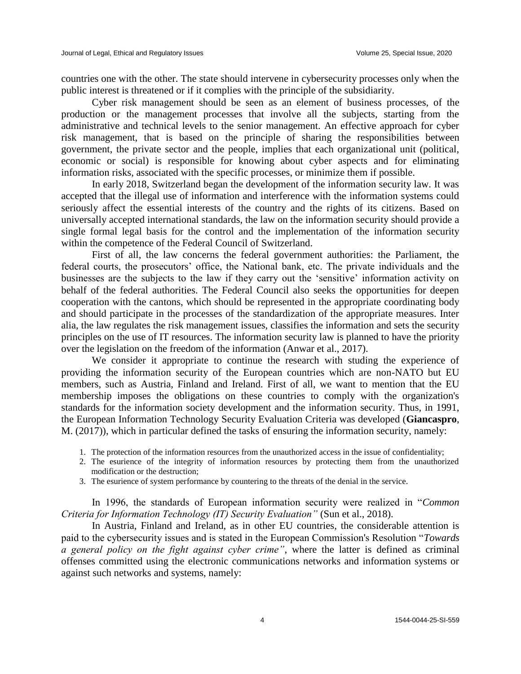countries one with the other. The state should intervene in cybersecurity processes only when the public interest is threatened or if it complies with the principle of the subsidiarity.

Cyber risk management should be seen as an element of business processes, of the production or the management processes that involve all the subjects, starting from the administrative and technical levels to the senior management. An effective approach for cyber risk management, that is based on the principle of sharing the responsibilities between government, the private sector and the people, implies that each organizational unit (political, economic or social) is responsible for knowing about cyber aspects and for eliminating information risks, associated with the specific processes, or minimize them if possible.

In early 2018, Switzerland began the development of the information security law. It was accepted that the illegal use of information and interference with the information systems could seriously affect the essential interests of the country and the rights of its citizens. Based on universally accepted international standards, the law on the information security should provide a single formal legal basis for the control and the implementation of the information security within the competence of the Federal Council of Switzerland.

First of all, the law concerns the federal government authorities: the Parliament, the federal courts, the prosecutors' office, the National bank, etc. The private individuals and the businesses are the subjects to the law if they carry out the 'sensitive' information activity on behalf of the federal authorities. The Federal Council also seeks the opportunities for deepen cooperation with the cantons, which should be represented in the appropriate coordinating body and should participate in the processes of the standardization of the appropriate measures. Inter alia, the law regulates the risk management issues, classifies the information and sets the security principles on the use of IT resources. The information security law is planned to have the priority over the legislation on the freedom of the information (Anwar et al., 2017).

We consider it appropriate to continue the research with studing the experience of providing the information security of the European countries which are non-NATO but EU members, such as Austria, Finland and Ireland. First of all, we want to mention that the EU membership imposes the obligations on these countries to comply with the organization's standards for the information society development and the information security. Thus, in 1991, the European Information Technology Security Evaluation Criteria was developed (**Giancaspro**, M. (2017)), which in particular defined the tasks of ensuring the information security, namely:

- 1. The protection of the information resources from the unauthorized access in the issue of confidentiality;
- 2. The esurience of the integrity of information resources by protecting them from the unauthorized modification or the destruction;
- 3. The esurience of system performance by countering to the threats of the denial in the service.

In 1996, the standards of European information security were realized in "*Common Criteria for Information Technology (IT) Security Evaluation"* (Sun et al., 2018).

In Austria, Finland and Ireland, as in other EU countries, the considerable attention is paid to the cybersecurity issues and is stated in the European Commission's Resolution "*Towards a general policy on the fight against cyber crime"*, where the latter is defined as criminal offenses committed using the electronic communications networks and information systems or against such networks and systems, namely: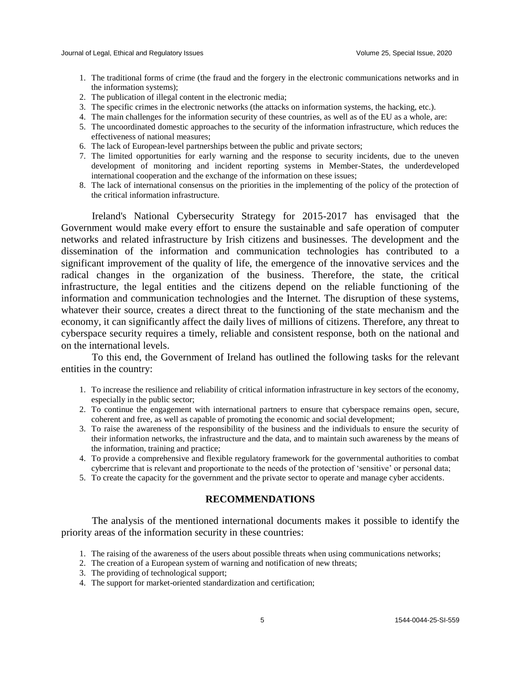- 1. The traditional forms of crime (the fraud and the forgery in the electronic communications networks and in the information systems);
- 2. The publication of illegal content in the electronic media;
- 3. The specific crimes in the electronic networks (the attacks on information systems, the hacking, etc.).
- 4. The main challenges for the information security of these countries, as well as of the EU as a whole, are:
- 5. The uncoordinated domestic approaches to the security of the information infrastructure, which reduces the effectiveness of national measures;
- 6. The lack of European-level partnerships between the public and private sectors;
- 7. The limited opportunities for early warning and the response to security incidents, due to the uneven development of monitoring and incident reporting systems in Member-States, the underdeveloped international cooperation and the exchange of the information on these issues;
- 8. The lack of international consensus on the priorities in the implementing of the policy of the protection of the critical information infrastructure.

Ireland's National Cybersecurity Strategy for 2015-2017 has envisaged that the Government would make every effort to ensure the sustainable and safe operation of computer networks and related infrastructure by Irish citizens and businesses. The development and the dissemination of the information and communication technologies has contributed to a significant improvement of the quality of life, the emergence of the innovative services and the radical changes in the organization of the business. Therefore, the state, the critical infrastructure, the legal entities and the citizens depend on the reliable functioning of the information and communication technologies and the Internet. The disruption of these systems, whatever their source, creates a direct threat to the functioning of the state mechanism and the economy, it can significantly affect the daily lives of millions of citizens. Therefore, any threat to cyberspace security requires a timely, reliable and consistent response, both on the national and on the international levels.

To this end, the Government of Ireland has outlined the following tasks for the relevant entities in the country:

- 1. To increase the resilience and reliability of critical information infrastructure in key sectors of the economy, especially in the public sector;
- 2. To continue the engagement with international partners to ensure that cyberspace remains open, secure, coherent and free, as well as capable of promoting the economic and social development;
- 3. To raise the awareness of the responsibility of the business and the individuals to ensure the security of their information networks, the infrastructure and the data, and to maintain such awareness by the means of the information, training and practice;
- 4. To provide a comprehensive and flexible regulatory framework for the governmental authorities to combat cybercrime that is relevant and proportionate to the needs of the protection of 'sensitive' or personal data;
- 5. To create the capacity for the government and the private sector to operate and manage cyber accidents.

#### **RECOMMENDATIONS**

The analysis of the mentioned international documents makes it possible to identify the priority areas of the information security in these countries:

- 1. The raising of the awareness of the users about possible threats when using communications networks;
- 2. The creation of a European system of warning and notification of new threats;
- 3. The providing of technological support;
- 4. The support for market-oriented standardization and certification;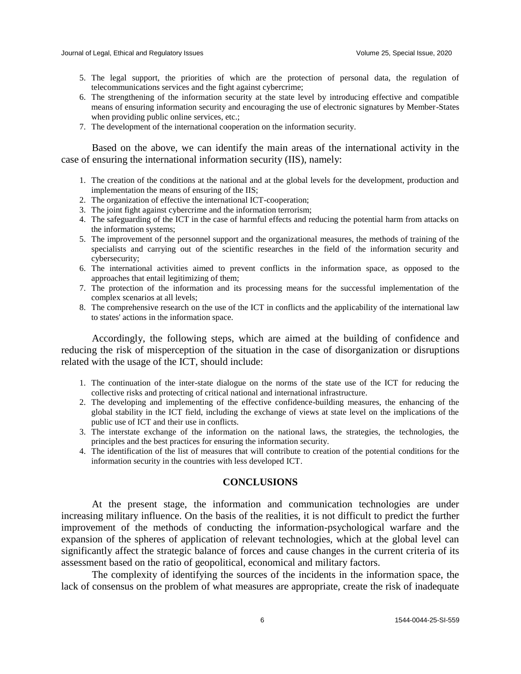- 5. The legal support, the priorities of which are the protection of personal data, the regulation of telecommunications services and the fight against cybercrime;
- 6. The strengthening of the information security at the state level by introducing effective and compatible means of ensuring information security and encouraging the use of electronic signatures by Member-States when providing public online services, etc.;
- 7. The development of the international cooperation on the information security.

Based on the above, we can identify the main areas of the international activity in the case of ensuring the international information security (IIS), namely:

- 1. The creation of the conditions at the national and at the global levels for the development, production and implementation the means of ensuring of the IIS;
- 2. The organization of effective the international ICT-cooperation;
- 3. The joint fight against cybercrime and the information terrorism;
- 4. The safeguarding of the ICT in the case of harmful effects and reducing the potential harm from attacks on the information systems;
- 5. The improvement of the personnel support and the organizational measures, the methods of training of the specialists and carrying out of the scientific researches in the field of the information security and cybersecurity;
- 6. The international activities aimed to prevent conflicts in the information space, as opposed to the approaches that entail legitimizing of them;
- 7. The protection of the information and its processing means for the successful implementation of the complex scenarios at all levels;
- 8. The comprehensive research on the use of the ICT in conflicts and the applicability of the international law to states' actions in the information space.

Accordingly, the following steps, which are aimed at the building of confidence and reducing the risk of misperception of the situation in the case of disorganization or disruptions related with the usage of the ICT, should include:

- 1. The continuation of the inter-state dialogue on the norms of the state use of the ICT for reducing the collective risks and protecting of critical national and international infrastructure.
- 2. The developing and implementing of the effective confidence-building measures, the enhancing of the global stability in the ICT field, including the exchange of views at state level on the implications of the public use of ICT and their use in conflicts.
- 3. The interstate exchange of the information on the national laws, the strategies, the technologies, the principles and the best practices for ensuring the information security.
- 4. The identification of the list of measures that will contribute to creation of the potential conditions for the information security in the countries with less developed ICT.

# **CONCLUSIONS**

At the present stage, the information and communication technologies are under increasing military influence. On the basis of the realities, it is not difficult to predict the further improvement of the methods of conducting the information-psychological warfare and the expansion of the spheres of application of relevant technologies, which at the global level can significantly affect the strategic balance of forces and cause changes in the current criteria of its assessment based on the ratio of geopolitical, economical and military factors.

The complexity of identifying the sources of the incidents in the information space, the lack of consensus on the problem of what measures are appropriate, create the risk of inadequate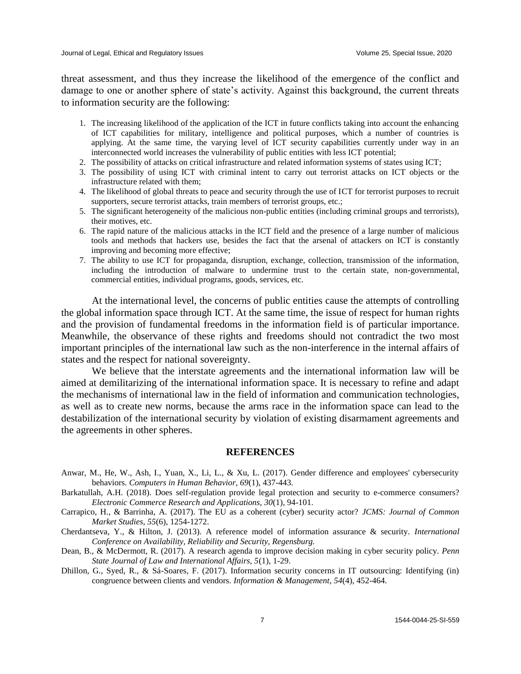threat assessment, and thus they increase the likelihood of the emergence of the conflict and damage to one or another sphere of state's activity. Against this background, the current threats to information security are the following:

- 1. The increasing likelihood of the application of the ICT in future conflicts taking into account the enhancing of ICT capabilities for military, intelligence and political purposes, which a number of countries is applying. At the same time, the varying level of ICT security capabilities currently under way in an interconnected world increases the vulnerability of public entities with less ICT potential;
- 2. The possibility of attacks on critical infrastructure and related information systems of states using ICT;
- 3. The possibility of using ICT with criminal intent to carry out terrorist attacks on ICT objects or the infrastructure related with them;
- 4. The likelihood of global threats to peace and security through the use of ICT for terrorist purposes to recruit supporters, secure terrorist attacks, train members of terrorist groups, etc.;
- 5. The significant heterogeneity of the malicious non-public entities (including criminal groups and terrorists), their motives, etc.
- 6. The rapid nature of the malicious attacks in the ICT field and the presence of a large number of malicious tools and methods that hackers use, besides the fact that the arsenal of attackers on ICT is constantly improving and becoming more effective;
- 7. The ability to use ICT for propaganda, disruption, exchange, collection, transmission of the information, including the introduction of malware to undermine trust to the certain state, non-governmental, commercial entities, individual programs, goods, services, etc.

At the international level, the concerns of public entities cause the attempts of controlling the global information space through ICT. At the same time, the issue of respect for human rights and the provision of fundamental freedoms in the information field is of particular importance. Meanwhile, the observance of these rights and freedoms should not contradict the two most important principles of the international law such as the non-interference in the internal affairs of states and the respect for national sovereignty.

We believe that the interstate agreements and the international information law will be aimed at demilitarizing of the international information space. It is necessary to refine and adapt the mechanisms of international law in the field of information and communication technologies, as well as to create new norms, because the arms race in the information space can lead to the destabilization of the international security by violation of existing disarmament agreements and the agreements in other spheres.

#### **REFERENCES**

- Anwar, M., He, W., Ash, I., Yuan, X., Li, L., & Xu, L. (2017). Gender difference and employees' cybersecurity behaviors. *Computers in Human Behavior, 69*(1), 437-443.
- Barkatullah, A.H. (2018). Does self-regulation provide legal protection and security to e-commerce consumers? *Electronic Commerce Research and Applications, 30*(1), 94-101.
- Carrapico, H., & Barrinha, A. (2017). The EU as a coherent (cyber) security actor? *JCMS: Journal of Common Market Studies, 55*(6), 1254-1272.
- Cherdantseva, Y., & Hilton, J. (2013). A reference model of information assurance & security. *International Conference on Availability, Reliability and Security, Regensburg.*
- Dean, B., & McDermott, R. (2017). A research agenda to improve decision making in cyber security policy. *Penn State Journal of Law and International Affairs, 5*(1), 1-29.
- Dhillon, G., Syed, R., & Sá-Soares, F. (2017). Information security concerns in IT outsourcing: Identifying (in) congruence between clients and vendors. *Information & Management*, *54*(4), 452-464.